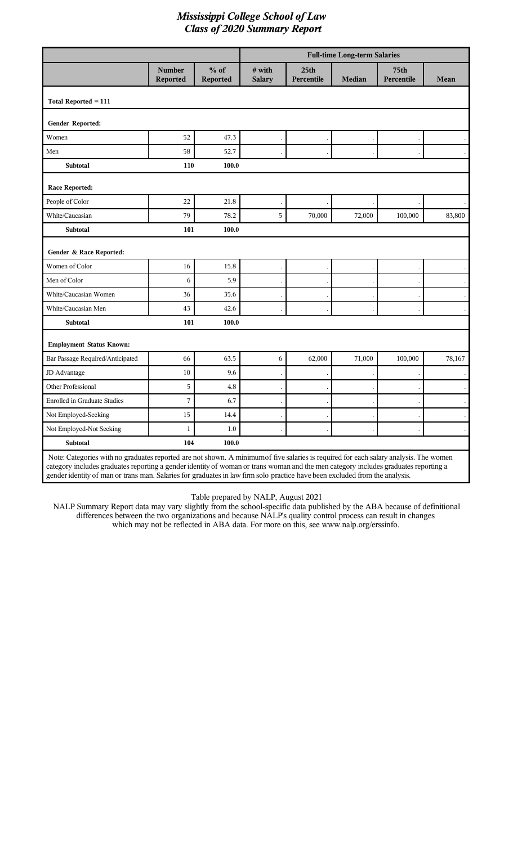|                                     |                                  |                           | <b>Full-time Long-term Salaries</b> |                                |               |                    |        |
|-------------------------------------|----------------------------------|---------------------------|-------------------------------------|--------------------------------|---------------|--------------------|--------|
|                                     | <b>Number</b><br><b>Reported</b> | $%$ of<br><b>Reported</b> | # with<br><b>Salary</b>             | 25 <sub>th</sub><br>Percentile | <b>Median</b> | 75th<br>Percentile | Mean   |
| Total Reported = 111                |                                  |                           |                                     |                                |               |                    |        |
| Gender Reported:                    |                                  |                           |                                     |                                |               |                    |        |
| Women                               | 52                               | 47.3                      |                                     |                                |               |                    |        |
| Men                                 | 58                               | 52.7                      |                                     |                                |               |                    |        |
| <b>Subtotal</b>                     | 110                              | 100.0                     |                                     |                                |               |                    |        |
| <b>Race Reported:</b>               |                                  |                           |                                     |                                |               |                    |        |
| People of Color                     | 22                               | 21.8                      |                                     |                                |               |                    |        |
| White/Caucasian                     | 79                               | 78.2                      | 5                                   | 70,000                         | 72,000        | 100,000            | 83,800 |
| Subtotal                            | 101                              | 100.0                     |                                     |                                |               |                    |        |
| Gender & Race Reported:             |                                  |                           |                                     |                                |               |                    |        |
| Women of Color                      | 16                               | 15.8                      |                                     |                                |               |                    |        |
| Men of Color                        | 6                                | 5.9                       |                                     |                                |               |                    |        |
| White/Caucasian Women               | 36                               | 35.6                      |                                     |                                |               |                    |        |
| White/Caucasian Men                 | 43                               | 42.6                      |                                     |                                |               |                    |        |
| <b>Subtotal</b>                     | 101                              | 100.0                     |                                     |                                |               |                    |        |
| <b>Employment Status Known:</b>     |                                  |                           |                                     |                                |               |                    |        |
| Bar Passage Required/Anticipated    | 66                               | 63.5                      | 6                                   | 62,000                         | 71,000        | 100,000            | 78,167 |
| JD Advantage                        | 10                               | 9.6                       |                                     |                                |               |                    |        |
| Other Professional                  | 5                                | 4.8                       |                                     |                                |               |                    |        |
| <b>Enrolled in Graduate Studies</b> | $\sqrt{ }$                       | 6.7                       |                                     |                                |               |                    |        |
| Not Employed-Seeking                | 15                               | 14.4                      |                                     |                                |               |                    |        |
| Not Employed-Not Seeking            | $\mathbf{1}$                     | 1.0                       |                                     |                                |               |                    |        |
| Subtotal                            | 104                              | 100.0                     |                                     |                                |               |                    |        |

category includes graduates reporting a gender identity of woman or trans woman and the men category includes graduates reporting a gender identity of man or trans man. Salaries for graduates in law firm solo practice have been excluded from the analysis.

Table prepared by NALP, August 2021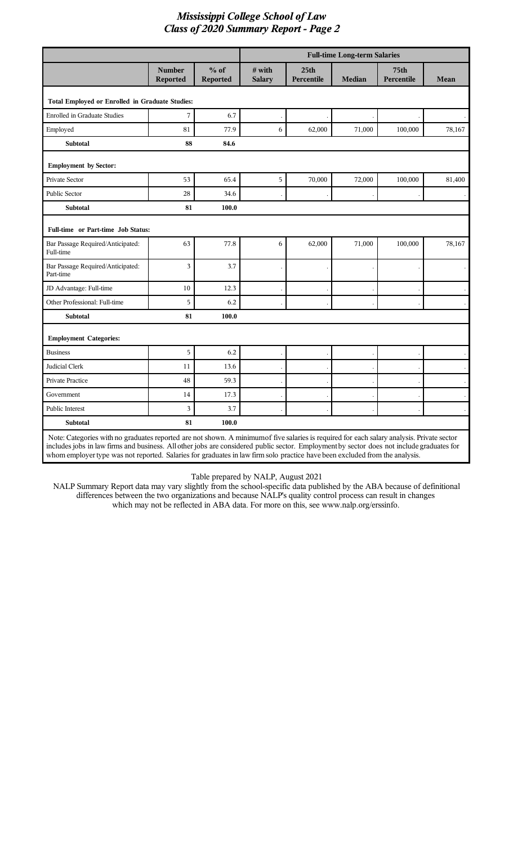|                                                                                                                                                                                                                                                                                                                                                                                                                       |                                  |                    | <b>Full-time Long-term Salaries</b> |                                |               |                                |        |
|-----------------------------------------------------------------------------------------------------------------------------------------------------------------------------------------------------------------------------------------------------------------------------------------------------------------------------------------------------------------------------------------------------------------------|----------------------------------|--------------------|-------------------------------------|--------------------------------|---------------|--------------------------------|--------|
|                                                                                                                                                                                                                                                                                                                                                                                                                       | <b>Number</b><br><b>Reported</b> | $%$ of<br>Reported | # with<br><b>Salary</b>             | 25 <sub>th</sub><br>Percentile | <b>Median</b> | 75 <sub>th</sub><br>Percentile | Mean   |
| Total Employed or Enrolled in Graduate Studies:                                                                                                                                                                                                                                                                                                                                                                       |                                  |                    |                                     |                                |               |                                |        |
| <b>Enrolled in Graduate Studies</b>                                                                                                                                                                                                                                                                                                                                                                                   | 7                                | 6.7                |                                     |                                |               |                                |        |
| Employed                                                                                                                                                                                                                                                                                                                                                                                                              | 81                               | 77.9               | 6                                   | 62,000                         | 71,000        | 100,000                        | 78,167 |
| <b>Subtotal</b>                                                                                                                                                                                                                                                                                                                                                                                                       | 88                               | 84.6               |                                     |                                |               |                                |        |
| <b>Employment by Sector:</b>                                                                                                                                                                                                                                                                                                                                                                                          |                                  |                    |                                     |                                |               |                                |        |
| Private Sector                                                                                                                                                                                                                                                                                                                                                                                                        | 53                               | 65.4               | 5                                   | 70,000                         | 72,000        | 100,000                        | 81,400 |
| Public Sector                                                                                                                                                                                                                                                                                                                                                                                                         | 28                               | 34.6               |                                     |                                |               |                                |        |
| <b>Subtotal</b>                                                                                                                                                                                                                                                                                                                                                                                                       | 81                               | 100.0              |                                     |                                |               |                                |        |
| Full-time or Part-time Job Status:                                                                                                                                                                                                                                                                                                                                                                                    |                                  |                    |                                     |                                |               |                                |        |
| Bar Passage Required/Anticipated:<br>Full-time                                                                                                                                                                                                                                                                                                                                                                        | 63                               | 77.8               | 6                                   | 62,000                         | 71,000        | 100,000                        | 78,167 |
| Bar Passage Required/Anticipated:<br>Part-time                                                                                                                                                                                                                                                                                                                                                                        | 3                                | 3.7                |                                     |                                |               |                                |        |
| JD Advantage: Full-time                                                                                                                                                                                                                                                                                                                                                                                               | 10                               | 12.3               |                                     |                                |               |                                |        |
| Other Professional: Full-time                                                                                                                                                                                                                                                                                                                                                                                         | 5                                | 6.2                |                                     |                                |               |                                |        |
| <b>Subtotal</b>                                                                                                                                                                                                                                                                                                                                                                                                       | 81                               | 100.0              |                                     |                                |               |                                |        |
| <b>Employment Categories:</b>                                                                                                                                                                                                                                                                                                                                                                                         |                                  |                    |                                     |                                |               |                                |        |
| <b>Business</b>                                                                                                                                                                                                                                                                                                                                                                                                       | 5                                | 6.2                |                                     |                                |               |                                |        |
| Judicial Clerk                                                                                                                                                                                                                                                                                                                                                                                                        | 11                               | 13.6               |                                     |                                |               |                                |        |
| Private Practice                                                                                                                                                                                                                                                                                                                                                                                                      | 48                               | 59.3               |                                     |                                |               |                                |        |
| Government                                                                                                                                                                                                                                                                                                                                                                                                            | 14                               | 17.3               |                                     |                                |               |                                |        |
| Public Interest                                                                                                                                                                                                                                                                                                                                                                                                       | 3                                | 3.7                |                                     |                                |               |                                |        |
| <b>Subtotal</b>                                                                                                                                                                                                                                                                                                                                                                                                       | 81                               | 100.0              |                                     |                                |               |                                |        |
| Note: Categories with no graduates reported are not shown. A minimumof five salaries is required for each salary analysis. Private sector<br>includes jobs in law firms and business. All other jobs are considered public sector. Employment by sector does not include graduates for<br>whom employer type was not reported. Salaries for graduates in law firm solo practice have been excluded from the analysis. |                                  |                    |                                     |                                |               |                                |        |

Table prepared by NALP, August 2021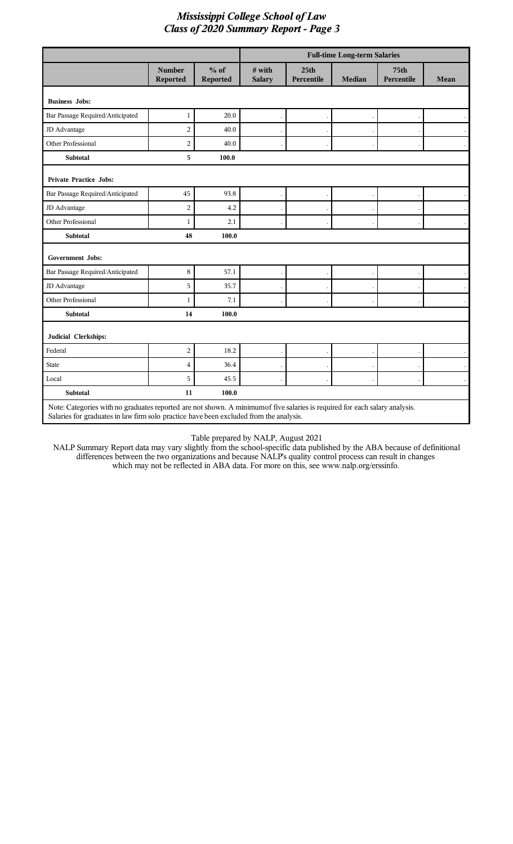|                                                                                                                                                                                                                       |                                  |                           | <b>Full-time Long-term Salaries</b> |                                |               |                                |                      |
|-----------------------------------------------------------------------------------------------------------------------------------------------------------------------------------------------------------------------|----------------------------------|---------------------------|-------------------------------------|--------------------------------|---------------|--------------------------------|----------------------|
|                                                                                                                                                                                                                       | <b>Number</b><br><b>Reported</b> | $%$ of<br><b>Reported</b> | # with<br><b>Salary</b>             | 25 <sub>th</sub><br>Percentile | <b>Median</b> | 75 <sub>th</sub><br>Percentile | <b>Mean</b>          |
| <b>Business Jobs:</b>                                                                                                                                                                                                 |                                  |                           |                                     |                                |               |                                |                      |
| Bar Passage Required/Anticipated                                                                                                                                                                                      | $\mathbf{1}$                     | 20.0                      |                                     |                                |               |                                |                      |
| JD Advantage                                                                                                                                                                                                          | $\overline{2}$                   | 40.0                      |                                     |                                |               |                                |                      |
| Other Professional                                                                                                                                                                                                    | $\overline{c}$                   | 40.0                      |                                     |                                |               |                                |                      |
| Subtotal                                                                                                                                                                                                              | 5                                | 100.0                     |                                     |                                |               |                                |                      |
| <b>Private Practice Jobs:</b>                                                                                                                                                                                         |                                  |                           |                                     |                                |               |                                |                      |
| Bar Passage Required/Anticipated                                                                                                                                                                                      | 45                               | 93.8                      |                                     |                                |               |                                | $\cdot$              |
| JD Advantage                                                                                                                                                                                                          | $\overline{2}$                   | 4.2                       |                                     |                                |               |                                | $\ddot{\phantom{a}}$ |
| Other Professional                                                                                                                                                                                                    | $\mathbf{1}$                     | 2.1                       |                                     |                                |               |                                |                      |
| Subtotal                                                                                                                                                                                                              | 48                               | 100.0                     |                                     |                                |               |                                |                      |
| Government Jobs:                                                                                                                                                                                                      |                                  |                           |                                     |                                |               |                                |                      |
| Bar Passage Required/Anticipated                                                                                                                                                                                      | $\,8\,$                          | 57.1                      |                                     |                                |               |                                |                      |
| JD Advantage                                                                                                                                                                                                          | 5                                | 35.7                      |                                     |                                |               |                                |                      |
| Other Professional                                                                                                                                                                                                    | $\mathbf{1}$                     | 7.1                       |                                     |                                |               |                                | $\bullet$            |
| <b>Subtotal</b>                                                                                                                                                                                                       | 14                               | 100.0                     |                                     |                                |               |                                |                      |
| Judicial Clerkships:                                                                                                                                                                                                  |                                  |                           |                                     |                                |               |                                |                      |
| Federal                                                                                                                                                                                                               | $\overline{c}$                   | 18.2                      |                                     |                                |               |                                | $\cdot$              |
| <b>State</b>                                                                                                                                                                                                          | $\overline{4}$                   | 36.4                      |                                     |                                |               |                                |                      |
| Local                                                                                                                                                                                                                 | 5                                | 45.5                      |                                     |                                |               |                                |                      |
| <b>Subtotal</b>                                                                                                                                                                                                       | 11                               | 100.0                     |                                     |                                |               |                                |                      |
| Note: Categories with no graduates reported are not shown. A minimum of five salaries is required for each salary analysis.<br>Salaries for graduates in law firm solo practice have been excluded from the analysis. |                                  |                           |                                     |                                |               |                                |                      |

Table prepared by NALP, August 2021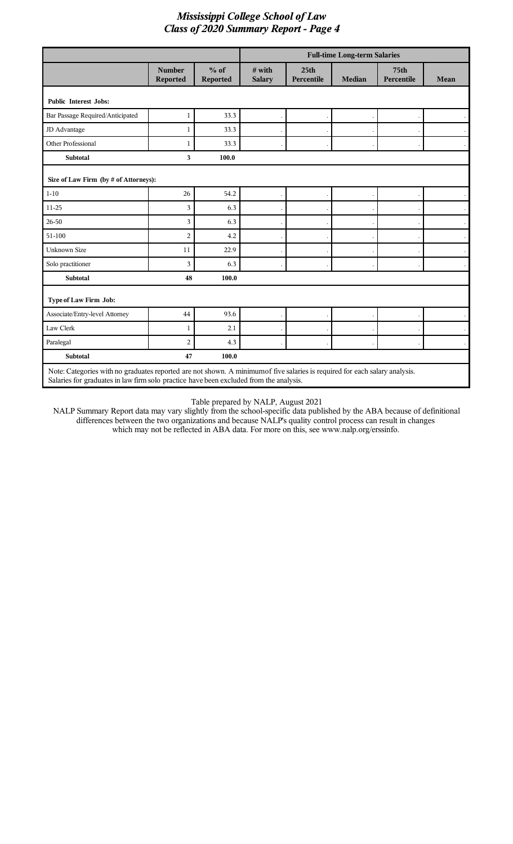|                                                                                                                                                                                                                       |                                  |                    | <b>Full-time Long-term Salaries</b> |                                |               |                                |           |
|-----------------------------------------------------------------------------------------------------------------------------------------------------------------------------------------------------------------------|----------------------------------|--------------------|-------------------------------------|--------------------------------|---------------|--------------------------------|-----------|
|                                                                                                                                                                                                                       | <b>Number</b><br><b>Reported</b> | $%$ of<br>Reported | $#$ with<br><b>Salary</b>           | 25 <sub>th</sub><br>Percentile | <b>Median</b> | 75 <sub>th</sub><br>Percentile | Mean      |
| <b>Public Interest Jobs:</b>                                                                                                                                                                                          |                                  |                    |                                     |                                |               |                                |           |
| Bar Passage Required/Anticipated                                                                                                                                                                                      | 1                                | 33.3               |                                     |                                |               |                                |           |
| JD Advantage                                                                                                                                                                                                          | $\mathbf{1}$                     | 33.3               |                                     |                                |               |                                |           |
| <b>Other Professional</b>                                                                                                                                                                                             | $\mathbf{1}$                     | 33.3               |                                     |                                |               |                                |           |
| <b>Subtotal</b>                                                                                                                                                                                                       | 3                                | 100.0              |                                     |                                |               |                                |           |
| Size of Law Firm (by # of Attorneys):                                                                                                                                                                                 |                                  |                    |                                     |                                |               |                                |           |
| $1 - 10$                                                                                                                                                                                                              | 26                               | 54.2               |                                     |                                |               |                                | $\cdot$   |
| 11-25                                                                                                                                                                                                                 | 3                                | 6.3                |                                     |                                |               |                                | $\lambda$ |
| 26-50                                                                                                                                                                                                                 | 3                                | 6.3                |                                     |                                |               |                                | $\bullet$ |
| 51-100                                                                                                                                                                                                                | $\overline{c}$                   | 4.2                |                                     |                                |               |                                |           |
| <b>Unknown Size</b>                                                                                                                                                                                                   | 11                               | 22.9               |                                     |                                |               |                                |           |
| Solo practitioner                                                                                                                                                                                                     | 3                                | 6.3                |                                     |                                |               |                                |           |
| <b>Subtotal</b>                                                                                                                                                                                                       | 48                               | 100.0              |                                     |                                |               |                                |           |
| Type of Law Firm Job:                                                                                                                                                                                                 |                                  |                    |                                     |                                |               |                                |           |
| Associate/Entry-level Attorney                                                                                                                                                                                        | 44                               | 93.6               |                                     |                                |               |                                |           |
| Law Clerk                                                                                                                                                                                                             | 1                                | 2.1                |                                     |                                |               |                                |           |
| Paralegal                                                                                                                                                                                                             | $\overline{2}$                   | 4.3                |                                     |                                |               |                                |           |
| <b>Subtotal</b>                                                                                                                                                                                                       | 47                               | 100.0              |                                     |                                |               |                                |           |
| Note: Categories with no graduates reported are not shown. A minimum of five salaries is required for each salary analysis.<br>Salaries for graduates in law firm solo practice have been excluded from the analysis. |                                  |                    |                                     |                                |               |                                |           |

Table prepared by NALP, August 2021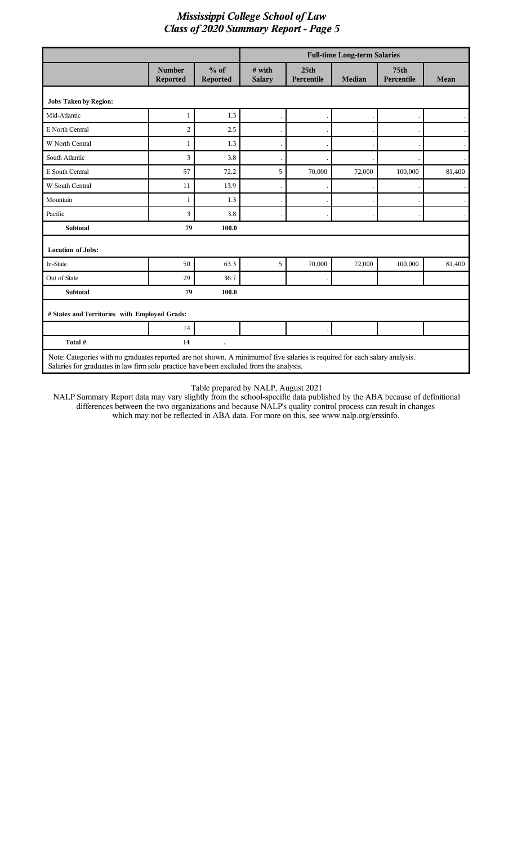|                                               |                           |                    | <b>Full-time Long-term Salaries</b> |                                |               |                                |                      |
|-----------------------------------------------|---------------------------|--------------------|-------------------------------------|--------------------------------|---------------|--------------------------------|----------------------|
|                                               | <b>Number</b><br>Reported | $%$ of<br>Reported | $#$ with<br><b>Salary</b>           | 25 <sub>th</sub><br>Percentile | <b>Median</b> | 75 <sub>th</sub><br>Percentile | Mean                 |
| <b>Jobs Taken by Region:</b>                  |                           |                    |                                     |                                |               |                                |                      |
| Mid-Atlantic                                  | 1                         | 1.3                |                                     |                                |               |                                |                      |
| E North Central                               | $\overline{2}$            | 2.5                |                                     |                                |               |                                |                      |
| W North Central                               | 1                         | 1.3                |                                     |                                |               |                                | $\ddot{\phantom{0}}$ |
| South Atlantic                                | 3                         | 3.8                |                                     |                                |               |                                |                      |
| E South Central                               | 57                        | 72.2               | 5                                   | 70,000                         | 72,000        | 100,000                        | 81,400               |
| W South Central                               | 11                        | 13.9               |                                     |                                |               |                                |                      |
| Mountain                                      | $\mathbf{1}$              | 1.3                |                                     |                                |               |                                |                      |
| Pacific                                       | $\overline{3}$            | 3.8                |                                     |                                |               |                                |                      |
| <b>Subtotal</b>                               | 79                        | 100.0              |                                     |                                |               |                                |                      |
| <b>Location of Jobs:</b>                      |                           |                    |                                     |                                |               |                                |                      |
| In-State                                      | 50                        | 63.3               | 5                                   | 70,000                         | 72,000        | 100,000                        | 81,400               |
| Out of State                                  | 29                        | 36.7               |                                     |                                |               |                                |                      |
| Subtotal                                      | 79                        | 100.0              |                                     |                                |               |                                |                      |
| # States and Territories with Employed Grads: |                           |                    |                                     |                                |               |                                |                      |
|                                               | 14                        |                    |                                     |                                |               |                                |                      |
| Total #                                       | 14                        |                    |                                     |                                |               |                                |                      |

Table prepared by NALP, August 2021 NALP Summary Report data may vary slightly from the school-specific data published by the ABA because of definitional differences between the two organizations and because NALP's quality control process can result in changes

which may not be reflected in ABA data. For more on this, see www.nalp.org/erssinfo.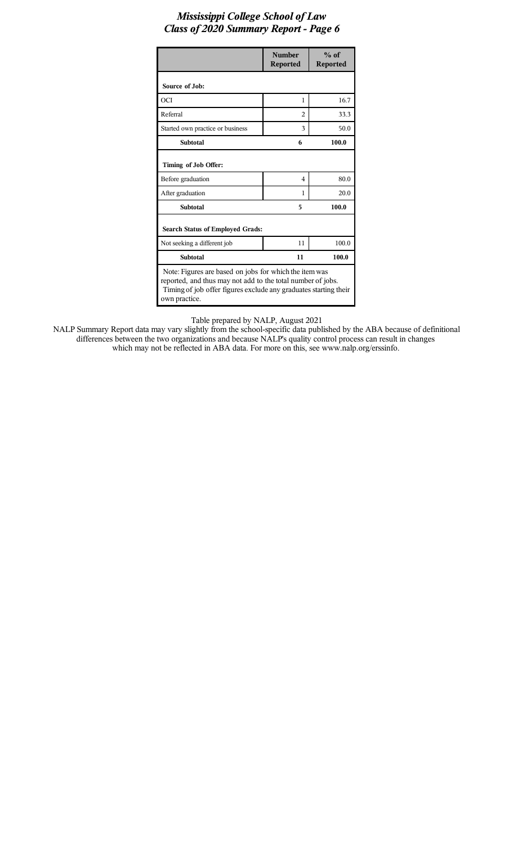|                                                                                                                                                                                                            | <b>Number</b><br><b>Reported</b> | $%$ of<br><b>Reported</b> |  |  |  |
|------------------------------------------------------------------------------------------------------------------------------------------------------------------------------------------------------------|----------------------------------|---------------------------|--|--|--|
| Source of Job:                                                                                                                                                                                             |                                  |                           |  |  |  |
| OCI                                                                                                                                                                                                        | 1                                | 16.7                      |  |  |  |
| Referral                                                                                                                                                                                                   | $\mathfrak{D}$                   | 33.3                      |  |  |  |
| Started own practice or business                                                                                                                                                                           | 3                                | 50.0                      |  |  |  |
| <b>Subtotal</b>                                                                                                                                                                                            | 6                                | 100.0                     |  |  |  |
| Timing of Job Offer:                                                                                                                                                                                       |                                  |                           |  |  |  |
| Before graduation                                                                                                                                                                                          | 4                                | 80.0                      |  |  |  |
| After graduation                                                                                                                                                                                           | 1                                | 20.0                      |  |  |  |
| <b>Subtotal</b>                                                                                                                                                                                            | 5                                | 100.0                     |  |  |  |
| <b>Search Status of Employed Grads:</b>                                                                                                                                                                    |                                  |                           |  |  |  |
| Not seeking a different job                                                                                                                                                                                | 11                               | 100.0                     |  |  |  |
| <b>Subtotal</b>                                                                                                                                                                                            | 11                               | 100.0                     |  |  |  |
| Note: Figures are based on jobs for which the item was<br>reported, and thus may not add to the total number of jobs.<br>Timing of job offer figures exclude any graduates starting their<br>own practice. |                                  |                           |  |  |  |

Table prepared by NALP, August 2021